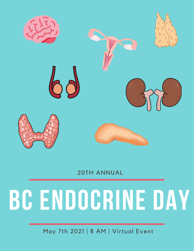

20TH ANNUAL

# **BC ENDOCRINE DAY**

May 7th 2021 | 8 AM | Virtual Event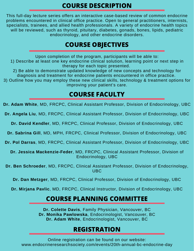#### **COURSE DESCRIPTION**

This full-day lecture series offers an interactive case-based review of common endocrine problems encountered in clinical office practice. Open to general practitioners, internists, specialists, trainees, and allied health professionals. A variety of endocrine health topics will be reviewed, such as thyroid, pituitary, diabetes, gonads, bones, lipids, pediatric endocrinology, and other endocrine disorders.

#### **COURSE OBJECTIVES**

Upon completion of the program, participants will be able to: 1) Describe at least one key endocrine clinical solution, learning point or next step in therapy for each topic presented.

2) Be able to demonstrate updated knowledge of new concepts and technology for diagnosis and treatment for endocrine patients encountered in office practice.

3) Outline how you may employ these new clinical skills, technology & treatment options for improving your patient's care.

### **COURSE FACULTY**

**Dr. Adam White**, MD, FRCPC, Clinical Assistant Professor, Division of Endocrinology, UBC

**Dr. Angela Liu**, MD, FRCPC, Clinical Assistant Professor, Division of Endocrinology, UBC

**Dr. David Kendler**, MD, FRCPC, Clinical Professor, Division of Endocrinology, UBC

**Dr. Sabrina Gill**, MD, MPH, FRCPC, Clinical Professor, Division of Endocrinology, UBC

**Dr. Pol Darras**, MD, FRCPC, Clinical Assistant Professor, Division of Endocrinology, UBC

**Dr. Jessica Mackenzie-Feder**, MD, FRCPC, Clinical Assistant Professor, Division of Endocrinology, UBC

**Dr. Ben Schroeder**, MD, FRCPC, Clinical Assistant Professor, Division of Endocrinology, UBC

**Dr. Dan Metzger**, MD, FRCPC, Clinical Professor, Division of Endocrinology, UBC

**Dr. Mirjana Pavlic**, MD, FRCPC, Clinical Instructor, Division of Endocrinology, UBC

### **COURSE PLANNING COMMITTEE**

**Dr. Colette Davis**, Family Physician, Vancouver, BC **Dr. Monika Pawlowska**, Endocrinologist, Vancouver, BC **Dr. Adam White**, Endocrinologist, Vancouver, BC

## **REGISTRATION**

Online registration can be found on our website: www.endocrineresearchsociety.com/events/20th-annual-bc-endocrine-day